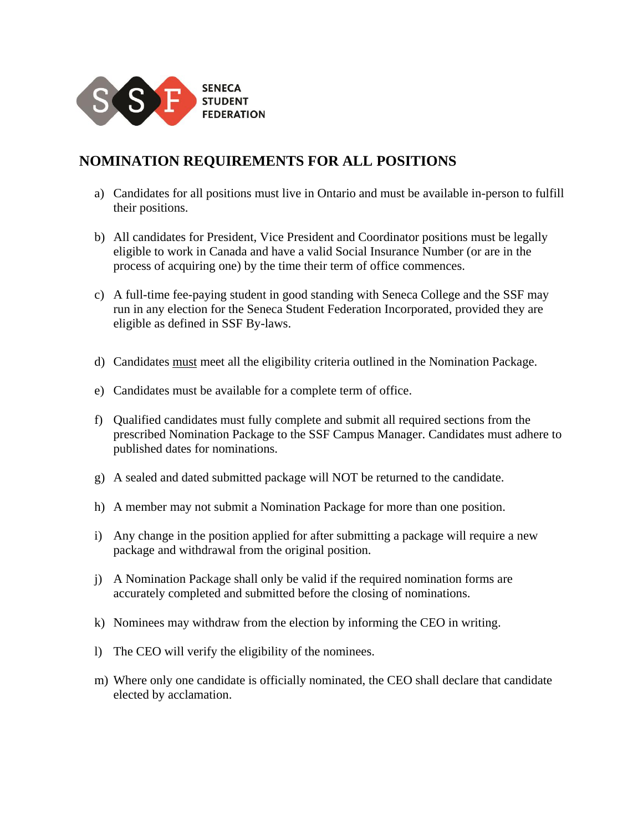

## **NOMINATION REQUIREMENTS FOR ALL POSITIONS**

- a) Candidates for all positions must live in Ontario and must be available in-person to fulfill their positions.
- b) All candidates for President, Vice President and Coordinator positions must be legally eligible to work in Canada and have a valid Social Insurance Number (or are in the process of acquiring one) by the time their term of office commences.
- c) A full-time fee-paying student in good standing with Seneca College and the SSF may run in any election for the Seneca Student Federation Incorporated, provided they are eligible as defined in SSF By-laws.
- d) Candidates must meet all the eligibility criteria outlined in the Nomination Package.
- e) Candidates must be available for a complete term of office.
- f) Qualified candidates must fully complete and submit all required sections from the prescribed Nomination Package to the SSF Campus Manager. Candidates must adhere to published dates for nominations.
- g) A sealed and dated submitted package will NOT be returned to the candidate.
- h) A member may not submit a Nomination Package for more than one position.
- i) Any change in the position applied for after submitting a package will require a new package and withdrawal from the original position.
- j) A Nomination Package shall only be valid if the required nomination forms are accurately completed and submitted before the closing of nominations.
- k) Nominees may withdraw from the election by informing the CEO in writing.
- l) The CEO will verify the eligibility of the nominees.
- m) Where only one candidate is officially nominated, the CEO shall declare that candidate elected by acclamation.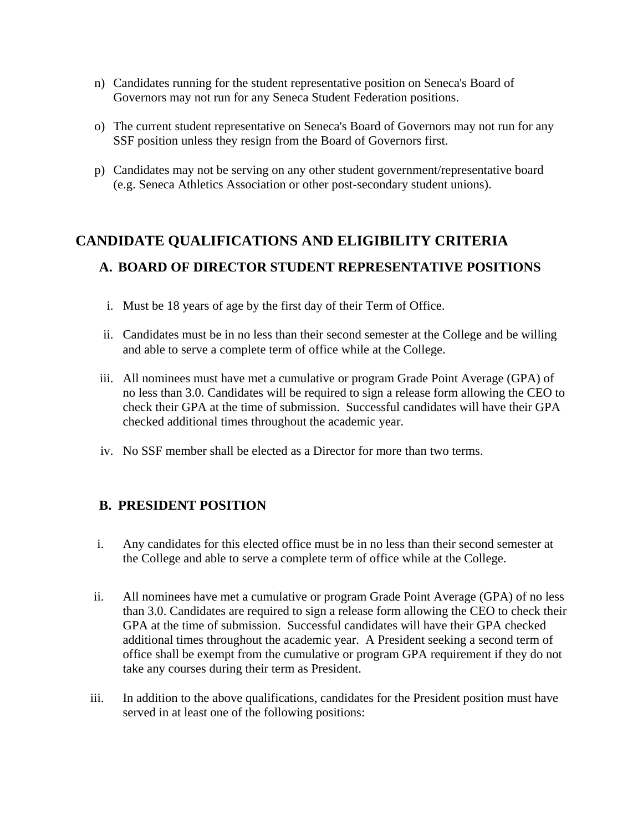- n) Candidates running for the student representative position on Seneca's Board of Governors may not run for any Seneca Student Federation positions.
- o) The current student representative on Seneca's Board of Governors may not run for any SSF position unless they resign from the Board of Governors first.
- p) Candidates may not be serving on any other student government/representative board (e.g. Seneca Athletics Association or other post-secondary student unions).

## **CANDIDATE QUALIFICATIONS AND ELIGIBILITY CRITERIA A. BOARD OF DIRECTOR STUDENT REPRESENTATIVE POSITIONS**

- i. Must be 18 years of age by the first day of their Term of Office.
- ii. Candidates must be in no less than their second semester at the College and be willing and able to serve a complete term of office while at the College.
- iii. All nominees must have met a cumulative or program Grade Point Average (GPA) of no less than 3.0. Candidates will be required to sign a release form allowing the CEO to check their GPA at the time of submission. Successful candidates will have their GPA checked additional times throughout the academic year.
- iv. No SSF member shall be elected as a Director for more than two terms.

## **B. PRESIDENT POSITION**

- i. Any candidates for this elected office must be in no less than their second semester at the College and able to serve a complete term of office while at the College.
- ii. All nominees have met a cumulative or program Grade Point Average (GPA) of no less than 3.0. Candidates are required to sign a release form allowing the CEO to check their GPA at the time of submission. Successful candidates will have their GPA checked additional times throughout the academic year. A President seeking a second term of office shall be exempt from the cumulative or program GPA requirement if they do not take any courses during their term as President.
- iii. In addition to the above qualifications, candidates for the President position must have served in at least one of the following positions: